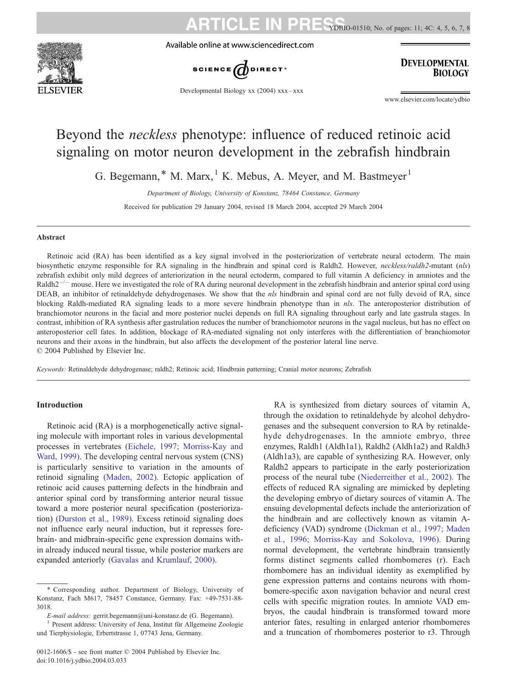

Available online at www.sciencedirect.com



**ARTICLE IN** 

## **DEVELOPMENTAL BIOLOGY**

Developmental Biology xx (2004) xxx – xxx

www.elsevier.com/locate/ydbio

YDBIO-01510; No. of pages: 11; 4C: 4, 5, 6, 7, 8

# Beyond the neckless phenotype: influence of reduced retinoic acid signaling on motor neuron development in the zebrafish hindbrain

G. Begemann,  $*$  M. Marx,  $<sup>1</sup>$  K. Mebus, A. Meyer, and M. Bastmeyer<sup>1</sup></sup>

Department of Biology, University of Konstanz, 78464 Constance, Germany

Received for publication 29 January 2004, revised 18 March 2004, accepted 29 March 2004

#### Abstract

Retinoic acid (RA) has been identified as a key signal involved in the posteriorization of vertebrate neural ectoderm. The main biosynthetic enzyme responsible for RA signaling in the hindbrain and spinal cord is Raldh2. However, *neckless/raldh2*-mutant (nls) zebrafish exhibit only mild degrees of anteriorization in the neural ectoderm, compared to full vitamin A deficiency in amniotes and the Raldh $2^{-/-}$  mouse. Here we investigated the role of RA during neuronal development in the zebrafish hindbrain and anterior spinal cord using DEAB, an inhibitor of retinaldehyde dehydrogenases. We show that the nls hindbrain and spinal cord are not fully devoid of RA, since blocking Raldh-mediated RA signaling leads to a more severe hindbrain phenotype than in nls. The anteroposterior distribution of branchiomotor neurons in the facial and more posterior nuclei depends on full RA signaling throughout early and late gastrula stages. In contrast, inhibition of RA synthesis after gastrulation reduces the number of branchiomotor neurons in the vagal nucleus, but has no effect on anteroposterior cell fates. In addition, blockage of RA-mediated signaling not only interferes with the differentiation of branchiomotor neurons and their axons in the hindbrain, but also affects the development of the posterior lateral line nerve.  $© 2004$  Published by Elsevier Inc.

Keywords: Retinaldehyde dehydrogenase; raldh2; Retinoic acid; Hindbrain patterning; Cranial motor neurons; Zebrafish

### Introduction

Retinoic acid (RA) is a morphogenetically active signaling molecule with important roles in various developmental processes in vertebrates [\(Eichele, 1997; Morriss-Kay and](#page-9-0) Ward, 1999). The developing central nervous system (CNS) is particularly sensitive to variation in the amounts of retinoid signaling [\(Maden, 2002\).](#page-10-0) Ectopic application of retinoic acid causes patterning defects in the hindbrain and anterior spinal cord by transforming anterior neural tissue toward a more posterior neural specification (posteriorization) [\(Durston et al., 1989\).](#page-9-0) Excess retinoid signaling does not influence early neural induction, but it represses forebrain- and midbrain-specific gene expression domains within already induced neural tissue, while posterior markers are expanded anteriorly [\(Gavalas and Krumlauf, 2000\).](#page-9-0)

E-mail address: gerrit.begemann@uni-konstanz.de (G. Begemann).<br><sup>1</sup> Present address: University of Jena, Institut für Allgemeine Zoologie

und Tierphysiologie, Erbertstrasse 1, 07743 Jena, Germany.

RA is synthesized from dietary sources of vitamin A, through the oxidation to retinaldehyde by alcohol dehydrogenases and the subsequent conversion to RA by retinaldehyde dehydrogenases. In the amniote embryo, three enzymes, Raldh1 (Aldh1a1), Raldh2 (Aldh1a2) and Raldh3 (Aldh1a3), are capable of synthesizing RA. However, only Raldh2 appears to participate in the early posteriorization process of the neural tube [\(Niederreither et al., 2002\).](#page-10-0) The effects of reduced RA signaling are mimicked by depleting the developing embryo of dietary sources of vitamin A. The ensuing developmental defects include the anteriorization of the hindbrain and are collectively known as vitamin Adeficiency (VAD) syndrome [\(Dickman et al., 1997; Maden](#page-9-0) et al., 1996; Morriss-Kay and Sokolova, 1996). During normal development, the vertebrate hindbrain transiently forms distinct segments called rhombomeres (r). Each rhombomere has an individual identity as exemplified by gene expression patterns and contains neurons with rhombomere-specific axon navigation behavior and neural crest cells with specific migration routes. In amniote VAD embryos, the caudal hindbrain is transformed toward more anterior fates, resulting in enlarged anterior rhombomeres and a truncation of rhombomeres posterior to r3. Through

<sup>\*</sup> Corresponding author. Department of Biology, University of Konstanz, Fach M617, 78457 Constance, Germany. Fax: +49-7531-88- 3018.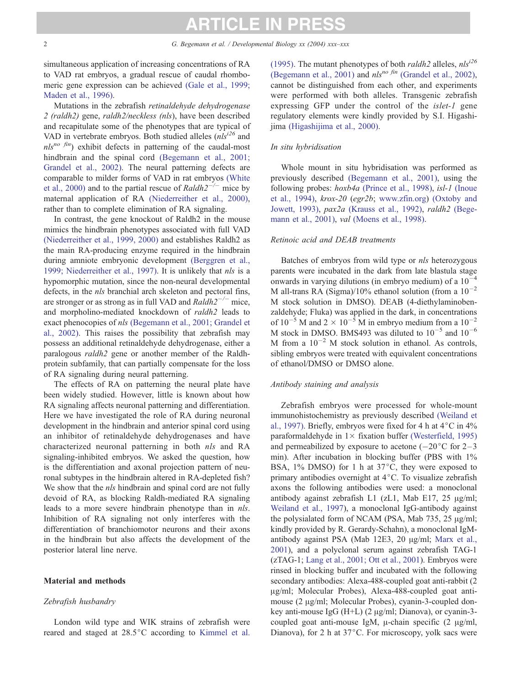simultaneous application of increasing concentrations of RA to VAD rat embryos, a gradual rescue of caudal rhombomeric gene expression can be achieved [\(Gale et al., 1999;](#page-9-0) Maden et al., 1996).

Mutations in the zebrafish retinaldehyde dehydrogenase 2 (raldh2) gene, raldh2/neckless (nls), have been described and recapitulate some of the phenotypes that are typical of VAD in vertebrate embryos. Both studied alleles  $(nls^{i26})$  and  $nls^{no-fin}$ ) exhibit defects in patterning of the caudal-most hindbrain and the spinal cord [\(Begemann et al., 2001;](#page-9-0) Grandel et al., 2002). The neural patterning defects are comparable to milder forms of VAD in rat embryos [\(White](#page-10-0) et al., 2000) and to the partial rescue of  $Raldh2^{-/-}$  mice by maternal application of RA [\(Niederreither et al., 2000\),](#page-10-0) rather than to complete elimination of RA signaling.

In contrast, the gene knockout of Raldh2 in the mouse mimics the hindbrain phenotypes associated with full VAD [\(Niederreither et al., 1999, 2000\)](#page-10-0) and establishes Raldh2 as the main RA-producing enzyme required in the hindbrain during amniote embryonic development [\(Berggren et al.,](#page-9-0) 1999; Niederreither et al., 1997). It is unlikely that nls is a hypomorphic mutation, since the non-neural developmental defects, in the nls branchial arch skeleton and pectoral fins, are stronger or as strong as in full VAD and  $Raldh2^{-/-}$  mice, and morpholino-mediated knockdown of raldh2 leads to exact phenocopies of nls [\(Begemann et al., 2001; Grandel et](#page-9-0) al., 2002). This raises the possibility that zebrafish may possess an additional retinaldehyde dehydrogenase, either a paralogous *raldh2* gene or another member of the Raldhprotein subfamily, that can partially compensate for the loss of RA signaling during neural patterning.

The effects of RA on patterning the neural plate have been widely studied. However, little is known about how RA signaling affects neuronal patterning and differentiation. Here we have investigated the role of RA during neuronal development in the hindbrain and anterior spinal cord using an inhibitor of retinaldehyde dehydrogenases and have characterized neuronal patterning in both nls and RA signaling-inhibited embryos. We asked the question, how is the differentiation and axonal projection pattern of neuronal subtypes in the hindbrain altered in RA-depleted fish? We show that the *nls* hindbrain and spinal cord are not fully devoid of RA, as blocking Raldh-mediated RA signaling leads to a more severe hindbrain phenotype than in *nls*. Inhibition of RA signaling not only interferes with the differentiation of branchiomotor neurons and their axons in the hindbrain but also affects the development of the posterior lateral line nerve.

### Material and methods

#### Zebrafish husbandry

London wild type and WIK strains of zebrafish were reared and staged at  $28.5^{\circ}$ C according to [Kimmel et al.](#page-10-0)

(1995). The mutant phenotypes of both *raldh2* alleles,  $nls^{i26}$ [\(Begemann et al., 2001\)](#page-9-0) and  $nls^{no fin}$  [\(Grandel et al., 2002\),](#page-9-0) cannot be distinguished from each other, and experiments were performed with both alleles. Transgenic zebrafish expressing GFP under the control of the islet-1 gene regulatory elements were kindly provided by S.I. Higashijima [\(Higashijima et al., 2000\).](#page-10-0)

#### In situ hybridisation

Whole mount in situ hybridisation was performed as previously described [\(Begemann et al., 2001\),](#page-9-0) using the following probes:  $h \circ b4a$  [\(Prince et al., 1998\),](#page-10-0) isl-1 [\(Inoue](#page-10-0) et al., 1994), krox-20 (egr2b; [www.zfin.org\)]( http:\\www.zfin.org ) [\(Oxtoby and](#page-10-0) Jowett, 1993), pax2a [\(Krauss et al., 1992\),](#page-10-0) raldh2 [\(Bege](#page-9-0)mann et al., 2001), val [\(Moens et al., 1998\).](#page-10-0)

#### Retinoic acid and DEAB treatments

Batches of embryos from wild type or nls heterozygous parents were incubated in the dark from late blastula stage onwards in varying dilutions (in embryo medium) of a  $10^{-4}$ M all-trans RA (Sigma)/10% ethanol solution (from a  $10^{-2}$ M stock solution in DMSO). DEAB (4-diethylaminobenzaldehyde; Fluka) was applied in the dark, in concentrations of  $10^{-5}$  M and  $2 \times 10^{-5}$  M in embryo medium from a  $10^{-2}$ M stock in DMSO. BMS493 was diluted to  $10^{-5}$  and  $10^{-6}$ M from a  $10^{-2}$  M stock solution in ethanol. As controls, sibling embryos were treated with equivalent concentrations of ethanol/DMSO or DMSO alone.

### Antibody staining and analysis

Zebrafish embryos were processed for whole-mount immunohistochemistry as previously described [\(Weiland et](#page-10-0) al., 1997). Briefly, embryos were fixed for 4 h at  $4^{\circ}$ C in  $4\%$ paraformaldehyde in  $1 \times$  fixation buffer [\(Westerfield, 1995\)](#page-10-0) and permeabilized by exposure to acetone  $(-20^{\circ}C$  for  $2-3$ min). After incubation in blocking buffer (PBS with 1% BSA,  $1\%$  DMSO) for 1 h at  $37^{\circ}$ C, they were exposed to primary antibodies overnight at  $4^{\circ}$ C. To visualize zebrafish axons the following antibodies were used: a monoclonal antibody against zebrafish L1 (zL1, Mab E17, 25  $\mu$ g/ml; [Weiland et al., 1997\)](#page-10-0), a monoclonal IgG-antibody against the polysialated form of NCAM (PSA, Mab  $735$ ,  $25 \mu g/ml$ ; kindly provided by R. Gerardy-Schahn), a monoclonal IgM-antibody against PSA (Mab 12E3, 20 µg/ml; [Marx et al.,](#page-10-0) 2001), and a polyclonal serum against zebrafish TAG-1 (zTAG-1; [Lang et al., 2001; Ott et al., 2001\)](#page-10-0). Embryos were rinsed in blocking buffer and incubated with the following secondary antibodies: Alexa-488-coupled goat anti-rabbit (2 µg/ml; Molecular Probes), Alexa-488-coupled goat antimouse (2 µg/ml; Molecular Probes), cyanin-3-coupled donkey anti-mouse IgG (H+L) (2  $\mu$ g/ml; Dianova), or cyanin-3coupled goat anti-mouse IgM,  $\mu$ -chain specific (2  $\mu$ g/ml, Dianova), for 2 h at  $37^{\circ}$ C. For microscopy, yolk sacs were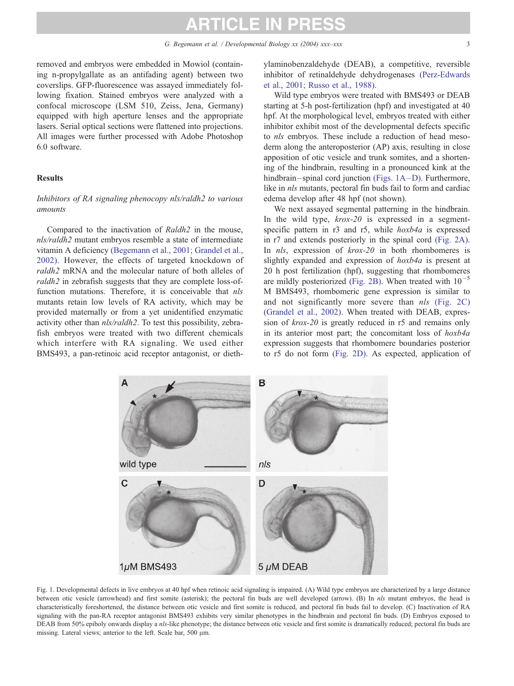removed and embryos were embedded in Mowiol (containing n-propylgallate as an antifading agent) between two coverslips. GFP-fluorescence was assayed immediately following fixation. Stained embryos were analyzed with a confocal microscope (LSM 510, Zeiss, Jena, Germany) equipped with high aperture lenses and the appropriate lasers. Serial optical sections were flattened into projections. All images were further processed with Adobe Photoshop 6.0 software.

#### **Results**

## Inhibitors of RA signaling phenocopy nls/raldh2 to various amounts

Compared to the inactivation of Raldh2 in the mouse, nls/raldh2 mutant embryos resemble a state of intermediate vitamin A deficiency [\(Begemann et al., 2001; Grandel et al.,](#page-9-0) 2002). However, the effects of targeted knockdown of raldh2 mRNA and the molecular nature of both alleles of raldh2 in zebrafish suggests that they are complete loss-offunction mutations. Therefore, it is conceivable that nls mutants retain low levels of RA activity, which may be provided maternally or from a yet unidentified enzymatic activity other than nls/raldh2. To test this possibility, zebrafish embryos were treated with two different chemicals which interfere with RA signaling. We used either BMS493, a pan-retinoic acid receptor antagonist, or diethylaminobenzaldehyde (DEAB), a competitive, reversible inhibitor of retinaldehyde dehydrogenases [\(Perz-Edwards](#page-10-0) et al., 2001; Russo et al., 1988).

Wild type embryos were treated with BMS493 or DEAB starting at 5-h post-fertilization (hpf) and investigated at 40 hpf. At the morphological level, embryos treated with either inhibitor exhibit most of the developmental defects specific to nls embryos. These include a reduction of head mesoderm along the anteroposterior (AP) axis, resulting in close apposition of otic vesicle and trunk somites, and a shortening of the hindbrain, resulting in a pronounced kink at the hindbrain-spinal cord junction (Figs. 1A-D). Furthermore, like in nls mutants, pectoral fin buds fail to form and cardiac edema develop after 48 hpf (not shown).

We next assayed segmental patterning in the hindbrain. In the wild type,  $krox-20$  is expressed in a segmentspecific pattern in r3 and r5, while  $h(x)$  is expressed in r7 and extends posteriorly in the spinal cord [\(Fig. 2A\).](#page-3-0) In *nls*, expression of *krox-20* in both rhombomeres is slightly expanded and expression of  $h(x)$  is present at 20 h post fertilization (hpf), suggesting that rhombomeres are mildly posteriorized [\(Fig. 2B\).](#page-3-0) When treated with  $10^{-5}$ M BMS493, rhombomeric gene expression is similar to and not significantly more severe than  $nls$  [\(Fig. 2C\)](#page-3-0) [\(Grandel et al., 2002\).](#page-9-0) When treated with DEAB, expression of krox-20 is greatly reduced in r5 and remains only in its anterior most part; the concomitant loss of hoxb4a expression suggests that rhombomere boundaries posterior to r5 do not form [\(Fig. 2D\).](#page-3-0) As expected, application of



Fig. 1. Developmental defects in live embryos at 40 hpf when retinoic acid signaling is impaired. (A) Wild type embryos are characterized by a large distance between otic vesicle (arrowhead) and first somite (asterisk); the pectoral fin buds are well developed (arrow). (B) In nls mutant embryos, the head is characteristically foreshortened, the distance between otic vesicle and first somite is reduced, and pectoral fin buds fail to develop. (C) Inactivation of RA signaling with the pan-RA receptor antagonist BMS493 exhibits very similar phenotypes in the hindbrain and pectoral fin buds. (D) Embryos exposed to DEAB from 50% epiboly onwards display a nls-like phenotype; the distance between otic vesicle and first somite is dramatically reduced; pectoral fin buds are missing. Lateral views; anterior to the left. Scale bar, 500  $\mu$ m.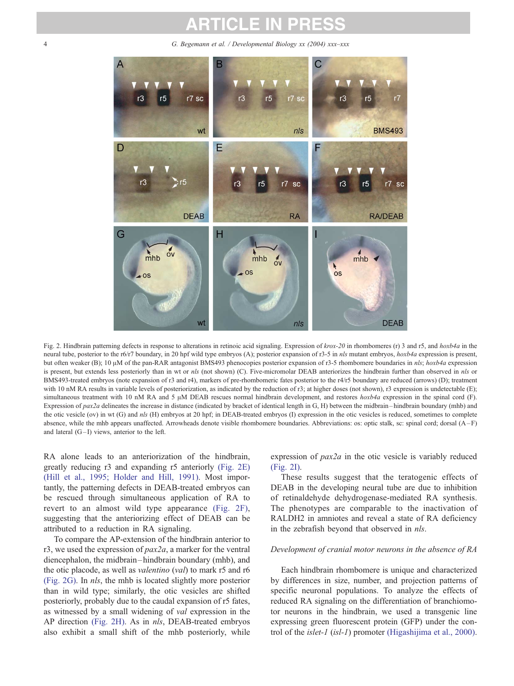<span id="page-3-0"></span>4 G. Begemann et al. / Developmental Biology xx (2004) xxx–xxx



Fig. 2. Hindbrain patterning defects in response to alterations in retinoic acid signaling. Expression of  $k\sigma x$ -20 in rhombomeres (r) 3 and r5, and  $h\alpha b4a$  in the neural tube, posterior to the r6/r7 boundary, in 20 hpf wild type embryos (A); posterior expansion of r3-5 in nls mutant embryos, hoxb4a expression is present, but often weaker (Β); 10 μM of the pan-RAR antagonist BMS493 phenocopies posterior expansion of r3-5 rhombomere boundaries in nls; hoxb4a expression is present, but extends less posteriorly than in wt or nls (not shown) (C). Five-micromolar DEAB anteriorizes the hindbrain further than observed in nls or BMS493-treated embryos (note expansion of r3 and r4), markers of pre-rhombomeric fates posterior to the r4/r5 boundary are reduced (arrows) (D); treatment with 10 nM RA results in variable levels of posteriorization, as indicated by the reduction of r3; at higher doses (not shown), r3 expression is undetectable (E); simultaneous treatment with 10 nM RA and 5  $\mu$ M DEAB rescues normal hindbrain development, and restores hoxb4a expression in the spinal cord (F). Expression of  $pax2a$  delineates the increase in distance (indicated by bracket of identical length in G, H) between the midbrain-hindbrain boundary (mhb) and the otic vesicle (ov) in wt (G) and  $nls$  (H) embryos at 20 hpf; in DEAB-treated embryos (I) expression in the otic vesicles is reduced, sometimes to complete absence, while the mhb appears unaffected. Arrowheads denote visible rhombomere boundaries. Abbreviations: os: optic stalk, sc: spinal cord; dorsal (A – F) and lateral  $(G-I)$  views, anterior to the left.

RA alone leads to an anteriorization of the hindbrain, greatly reducing r3 and expanding r5 anteriorly (Fig. 2E) [\(Hill et al., 1995; Holder and Hill, 1991\).](#page-10-0) Most importantly, the patterning defects in DEAB-treated embryos can be rescued through simultaneous application of RA to revert to an almost wild type appearance (Fig. 2F), suggesting that the anteriorizing effect of DEAB can be attributed to a reduction in RA signaling.

To compare the AP-extension of the hindbrain anterior to r3, we used the expression of  $pax2a$ , a marker for the ventral diencephalon, the midbrain – hindbrain boundary (mhb), and the otic placode, as well as valentino (val) to mark r5 and r6 (Fig. 2G). In nls, the mhb is located slightly more posterior than in wild type; similarly, the otic vesicles are shifted posteriorly, probably due to the caudal expansion of r5 fates, as witnessed by a small widening of val expression in the AP direction (Fig. 2H). As in nls, DEAB-treated embryos also exhibit a small shift of the mhb posteriorly, while

expression of  $pax2a$  in the otic vesicle is variably reduced (Fig. 2I).

These results suggest that the teratogenic effects of DEAB in the developing neural tube are due to inhibition of retinaldehyde dehydrogenase-mediated RA synthesis. The phenotypes are comparable to the inactivation of RALDH2 in amniotes and reveal a state of RA deficiency in the zebrafish beyond that observed in nls.

#### Development of cranial motor neurons in the absence of RA

Each hindbrain rhombomere is unique and characterized by differences in size, number, and projection patterns of specific neuronal populations. To analyze the effects of reduced RA signaling on the differentiation of branchiomotor neurons in the hindbrain, we used a transgenic line expressing green fluorescent protein (GFP) under the control of the islet-1 (isl-1) promoter [\(Higashijima et al., 2000\).](#page-10-0)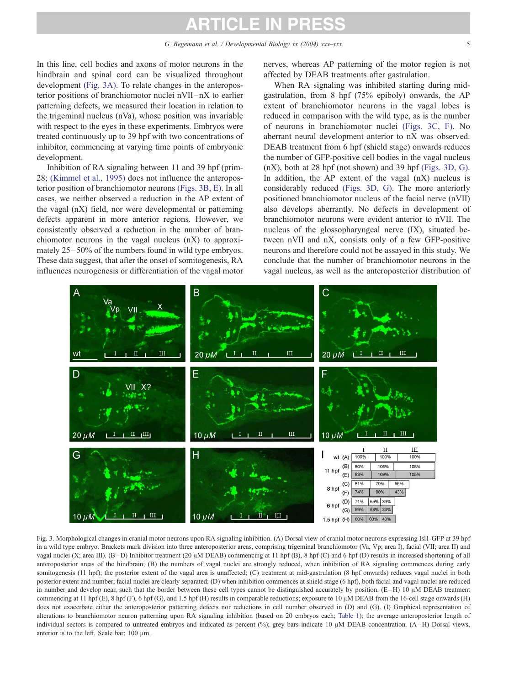<span id="page-4-0"></span>In this line, cell bodies and axons of motor neurons in the hindbrain and spinal cord can be visualized throughout development (Fig. 3A). To relate changes in the anteroposterior positions of branchiomotor nuclei nVII –nX to earlier patterning defects, we measured their location in relation to the trigeminal nucleus (nVa), whose position was invariable with respect to the eyes in these experiments. Embryos were treated continuously up to 39 hpf with two concentrations of inhibitor, commencing at varying time points of embryonic development.

Inhibition of RA signaling between 11 and 39 hpf (prim-28; [\(Kimmel et al., 1995\)](#page-10-0) does not influence the anteroposterior position of branchiomotor neurons (Figs. 3B, E). In all cases, we neither observed a reduction in the AP extent of the vagal (nX) field, nor were developmental or patterning defects apparent in more anterior regions. However, we consistently observed a reduction in the number of branchiomotor neurons in the vagal nucleus (nX) to approximately  $25-50\%$  of the numbers found in wild type embryos. These data suggest, that after the onset of somitogenesis, RA influences neurogenesis or differentiation of the vagal motor

nerves, whereas AP patterning of the motor region is not affected by DEAB treatments after gastrulation.

When RA signaling was inhibited starting during midgastrulation, from 8 hpf (75% epiboly) onwards, the AP extent of branchiomotor neurons in the vagal lobes is reduced in comparison with the wild type, as is the number of neurons in branchiomotor nuclei (Figs. 3C, F). No aberrant neural development anterior to nX was observed. DEAB treatment from 6 hpf (shield stage) onwards reduces the number of GFP-positive cell bodies in the vagal nucleus (nX), both at 28 hpf (not shown) and 39 hpf (Figs. 3D, G). In addition, the AP extent of the vagal (nX) nucleus is considerably reduced (Figs. 3D, G). The more anteriorly positioned branchiomotor nucleus of the facial nerve (nVII) also develops aberrantly. No defects in development of branchiomotor neurons were evident anterior to nVII. The nucleus of the glossopharyngeal nerve (IX), situated between nVII and nX, consists only of a few GFP-positive neurons and therefore could not be assayed in this study. We conclude that the number of branchiomotor neurons in the vagal nucleus, as well as the anteroposterior distribution of



Fig. 3. Morphological changes in cranial motor neurons upon RA signaling inhibition. (A) Dorsal view of cranial motor neurons expressing Isl1-GFP at 39 hpf in a wild type embryo. Brackets mark division into three anteroposterior areas, comprising trigeminal branchiomotor (Va, Vp; area I), facial (VII; area II) and vagal nuclei (X; area III). (B-D) Inhibitor treatment (20  $\mu$ M DEAB) commencing at 11 hpf (B), 8 hpf (C) and 6 hpf (D) results in increased shortening of all anteroposterior areas of the hindbrain; (B) the numbers of vagal nuclei are strongly reduced, when inhibition of RA signaling commences during early somitogenesis (11 hpf); the posterior extent of the vagal area is unaffected; (C) treatment at mid-gastrulation (8 hpf onwards) reduces vagal nuclei in both posterior extent and number; facial nuclei are clearly separated; (D) when inhibition commences at shield stage (6 hpf), both facial and vagal nuclei are reduced in number and develop near, such that the border between these cell types cannot be distinguished accurately by position.  $(E-H)$  10  $\mu$ M DEAB treatment commencing at 11 hpf (E), 8 hpf (F), 6 hpf (G), and 1.5 hpf (H) results in comparable reductions; exposure to 10  $\mu$ M DEAB from the 16-cell stage onwards (H) does not exacerbate either the anteroposterior patterning defects nor reductions in cell number observed in (D) and (G). (I) Graphical representation of alterations to branchiomotor neuron patterning upon RA signaling inhibition (based on 20 embryos each; [Table 1\)](#page-5-0); the average anteroposterior length of individual sectors is compared to untreated embryos and indicated as percent  $\frac{1}{2}$ ; grev bars indicate 10  $\mu$ M DEAB concentration. (A–H) Dorsal views, anterior is to the left. Scale bar:  $100 \mu m$ .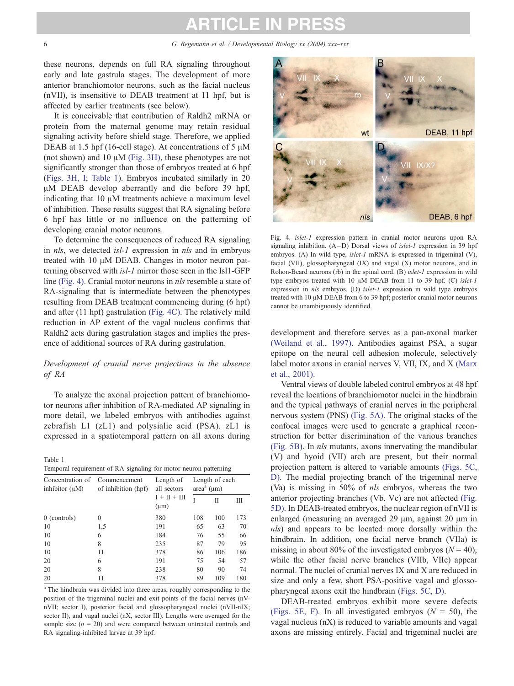<span id="page-5-0"></span>these neurons, depends on full RA signaling throughout early and late gastrula stages. The development of more anterior branchiomotor neurons, such as the facial nucleus (nVII), is insensitive to DEAB treatment at 11 hpf, but is affected by earlier treatments (see below).

It is conceivable that contribution of Raldh2 mRNA or protein from the maternal genome may retain residual signaling activity before shield stage. Therefore, we applied DEAB at 1.5 hpf (16-cell stage). At concentrations of 5  $\mu$ M (not shown) and 10  $\mu$ M [\(Fig. 3H\),](#page-4-0) these phenotypes are not significantly stronger than those of embryos treated at 6 hpf ([Figs. 3H, I;](#page-4-0) Table 1). Embryos incubated similarly in 20 µM DEAB develop aberrantly and die before 39 hpf, indicating that  $10 \mu M$  treatments achieve a maximum level of inhibition. These results suggest that RA signaling before 6 hpf has little or no influence on the patterning of developing cranial motor neurons.

To determine the consequences of reduced RA signaling in nls, we detected isl-1 expression in nls and in embryos treated with 10  $\mu$ M DEAB. Changes in motor neuron patterning observed with isl-1 mirror those seen in the Isl1-GFP line (Fig. 4). Cranial motor neurons in nls resemble a state of RA-signaling that is intermediate between the phenotypes resulting from DEAB treatment commencing during (6 hpf) and after (11 hpf) gastrulation (Fig. 4C). The relatively mild reduction in AP extent of the vagal nucleus confirms that Raldh2 acts during gastrulation stages and implies the presence of additional sources of RA during gastrulation.

### Development of cranial nerve projections in the absence of RA

To analyze the axonal projection pattern of branchiomotor neurons after inhibition of RA-mediated AP signaling in more detail, we labeled embryos with antibodies against zebrafish L1 (zL1) and polysialic acid (PSA). zL1 is expressed in a spatiotemporal pattern on all axons during

Table 1 Temporal requirement of RA signaling for motor neuron patterning

| Concentration of<br>inhibitor $(\mu M)$ | Commencement<br>of inhibition (hpf) | Length of<br>all sectors    | Length of each<br>$areaa (\mu m)$ |     |     |  |  |
|-----------------------------------------|-------------------------------------|-----------------------------|-----------------------------------|-----|-----|--|--|
|                                         |                                     | $I + II + III$<br>$(\mu m)$ |                                   | П   | Ш   |  |  |
| $0$ (controls)                          | $\theta$                            | 380                         | 108                               | 100 | 173 |  |  |
| 10                                      | 1,5                                 | 191                         | 65                                | 63  | 70  |  |  |
| 10                                      | 6                                   | 184                         | 76                                | 55  | 66  |  |  |
| 10                                      | 8                                   | 235                         | 87                                | 79  | 95  |  |  |
| 10                                      | 11                                  | 378                         | 86                                | 106 | 186 |  |  |
| 20                                      | 6                                   | 191                         | 75                                | 54  | 57  |  |  |
| 20                                      | 8                                   | 238                         | 80                                | 90  | 74  |  |  |
| 20                                      | 11                                  | 378                         | 89                                | 109 | 180 |  |  |

<sup>a</sup> The hindbrain was divided into three areas, roughly corresponding to the position of the trigeminal nuclei and exit points of the facial nerves (nVnVII; sector I), posterior facial and glossopharyngeal nuclei (nVII-nIX; sector II), and vagal nuclei (nX, sector III). Lengths were averaged for the sample size  $(n = 20)$  and were compared between untreated controls and RA signaling-inhibited larvae at 39 hpf.



Fig. 4. islet-1 expression pattern in cranial motor neurons upon RA signaling inhibition.  $(A-D)$  Dorsal views of *islet-1* expression in 39 hpf embryos. (A) In wild type, islet-1 mRNA is expressed in trigeminal (V), facial (VII), glossopharyngeal (IX) and vagal (X) motor neurons, and in Rohon-Beard neurons (rb) in the spinal cord. (B) islet-1 expression in wild type embryos treated with 10  $\mu$ M DEAB from 11 to 39 hpf. (C) islet-1 expression in nls embryos. (D) islet-1 expression in wild type embryos treated with 10  $\mu$ M DEAB from 6 to 39 hpf; posterior cranial motor neurons cannot be unambiguously identified.

development and therefore serves as a pan-axonal marker [\(Weiland et al., 1997\).](#page-10-0) Antibodies against PSA, a sugar epitope on the neural cell adhesion molecule, selectively label motor axons in cranial nerves V, VII, IX, and X [\(Marx](#page-10-0) et al., 2001).

Ventral views of double labeled control embryos at 48 hpf reveal the locations of branchiomotor nuclei in the hindbrain and the typical pathways of cranial nerves in the peripheral nervous system (PNS) [\(Fig. 5A\).](#page-6-0) The original stacks of the confocal images were used to generate a graphical reconstruction for better discrimination of the various branches [\(Fig. 5B\).](#page-6-0) In nls mutants, axons innervating the mandibular (V) and hyoid (VII) arch are present, but their normal projection pattern is altered to variable amounts [\(Figs. 5C,](#page-6-0) D). The medial projecting branch of the trigeminal nerve (Va) is missing in 50% of nls embryos, whereas the two anterior projecting branches (Vb, Vc) are not affected [\(Fig.](#page-6-0) 5D). In DEAB-treated embryos, the nuclear region of nVII is enlarged (measuring an averaged  $29 \mu m$ , against  $20 \mu m$  in nls) and appears to be located more dorsally within the hindbrain. In addition, one facial nerve branch (VIIa) is missing in about 80% of the investigated embryos ( $N = 40$ ), while the other facial nerve branches (VIIb, VIIc) appear normal. The nuclei of cranial nerves IX and X are reduced in size and only a few, short PSA-positive vagal and glossopharyngeal axons exit the hindbrain [\(Figs. 5C, D\).](#page-6-0)

DEAB-treated embryos exhibit more severe defects [\(Figs. 5E, F\).](#page-6-0) In all investigated embryos ( $N = 50$ ), the vagal nucleus (nX) is reduced to variable amounts and vagal axons are missing entirely. Facial and trigeminal nuclei are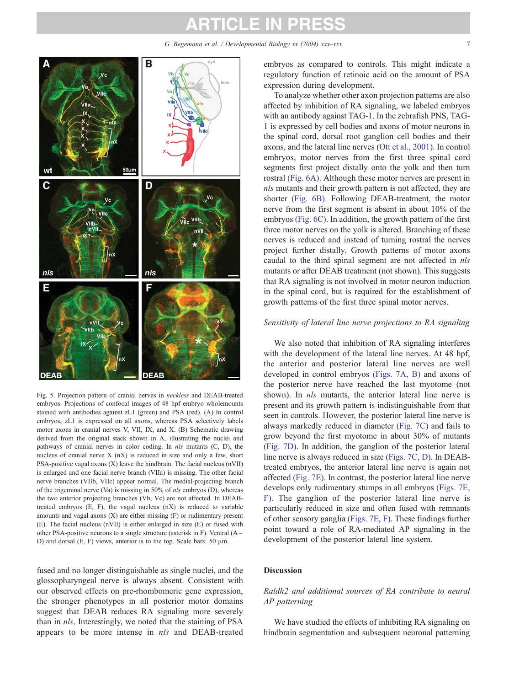G. Begemann et al. / Developmental Biology xx (2004) xxx–xxx 7

<span id="page-6-0"></span>

Fig. 5. Projection pattern of cranial nerves in neckless and DEAB-treated embryos. Projections of confocal images of 48 hpf embryo wholemounts stained with antibodies against zL1 (green) and PSA (red). (A) In control embryos, zL1 is expressed on all axons, whereas PSA selectively labels motor axons in cranial nerves V, VII, IX, and X. (B) Schematic drawing derived from the original stack shown in A, illustrating the nuclei and pathways of cranial nerves in color coding. In nls mutants (C, D), the nucleus of cranial nerve X (nX) is reduced in size and only a few, short PSA-positive vagal axons (X) leave the hindbrain. The facial nucleus (nVII) is enlarged and one facial nerve branch (VIIa) is missing. The other facial nerve branches (VIIb, VIIc) appear normal. The medial-projecting branch of the trigeminal nerve (Va) is missing in 50% of nls embryos (D), whereas the two anterior projecting branches (Vb, Vc) are not affected. In DEABtreated embryos (E, F), the vagal nucleus (nX) is reduced to variable amounts and vagal axons  $(X)$  are either missing  $(F)$  or rudimentary present (E). The facial nucleus (nVII) is either enlarged in size (E) or fused with other PSA-positive neurons to a single structure (asterisk in F). Ventral (A – D) and dorsal  $(E, F)$  views, anterior is to the top. Scale bars: 50  $\mu$ m.

fused and no longer distinguishable as single nuclei, and the glossopharyngeal nerve is always absent. Consistent with our observed effects on pre-rhombomeric gene expression, the stronger phenotypes in all posterior motor domains suggest that DEAB reduces RA signaling more severely than in nls. Interestingly, we noted that the staining of PSA appears to be more intense in nls and DEAB-treated

embryos as compared to controls. This might indicate a regulatory function of retinoic acid on the amount of PSA expression during development.

To analyze whether other axon projection patterns are also affected by inhibition of RA signaling, we labeled embryos with an antibody against TAG-1. In the zebrafish PNS, TAG-1 is expressed by cell bodies and axons of motor neurons in the spinal cord, dorsal root ganglion cell bodies and their axons, and the lateral line nerves [\(Ott et al., 2001\).](#page-10-0) In control embryos, motor nerves from the first three spinal cord segments first project distally onto the yolk and then turn rostral [\(Fig. 6A\).](#page-7-0) Although these motor nerves are present in nls mutants and their growth pattern is not affected, they are shorter [\(Fig. 6B\).](#page-7-0) Following DEAB-treatment, the motor nerve from the first segment is absent in about 10% of the embryos [\(Fig. 6C\).](#page-7-0) In addition, the growth pattern of the first three motor nerves on the yolk is altered. Branching of these nerves is reduced and instead of turning rostral the nerves project further distally. Growth patterns of motor axons caudal to the third spinal segment are not affected in nls mutants or after DEAB treatment (not shown). This suggests that RA signaling is not involved in motor neuron induction in the spinal cord, but is required for the establishment of growth patterns of the first three spinal motor nerves.

### Sensitivity of lateral line nerve projections to RA signaling

We also noted that inhibition of RA signaling interferes with the development of the lateral line nerves. At 48 hpf, the anterior and posterior lateral line nerves are well developed in control embryos [\(Figs. 7A, B\)](#page-7-0) and axons of the posterior nerve have reached the last myotome (not shown). In *nls* mutants, the anterior lateral line nerve is present and its growth pattern is indistinguishable from that seen in controls. However, the posterior lateral line nerve is always markedly reduced in diameter [\(Fig. 7C\)](#page-7-0) and fails to grow beyond the first myotome in about 30% of mutants [\(Fig. 7D\).](#page-7-0) In addition, the ganglion of the posterior lateral line nerve is always reduced in size [\(Figs. 7C, D\).](#page-7-0) In DEABtreated embryos, the anterior lateral line nerve is again not affected [\(Fig. 7E\).](#page-7-0) In contrast, the posterior lateral line nerve develops only rudimentary stumps in all embryos [\(Figs. 7E,](#page-7-0) F). The ganglion of the posterior lateral line nerve is particularly reduced in size and often fused with remnants of other sensory ganglia [\(Figs. 7E, F\).](#page-7-0) These findings further point toward a role of RA-mediated AP signaling in the development of the posterior lateral line system.

### Discussion

### Raldh2 and additional sources of RA contribute to neural AP patterning

We have studied the effects of inhibiting RA signaling on hindbrain segmentation and subsequent neuronal patterning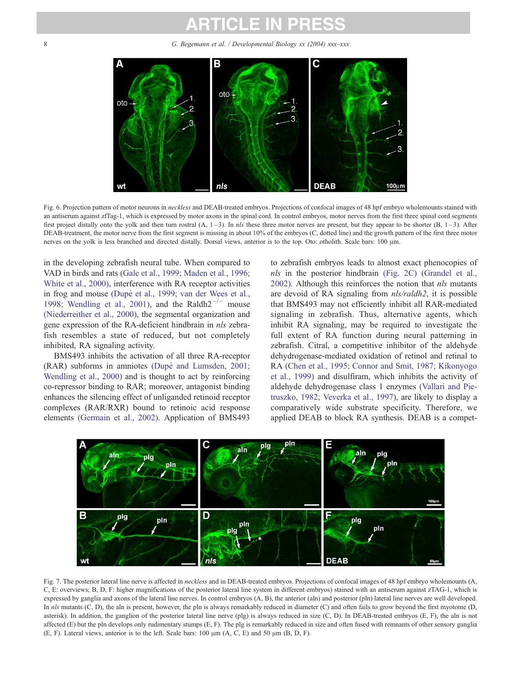# TICLE IN P

<span id="page-7-0"></span>8 G. Begemann et al. / Developmental Biology xx (2004) xxx-xxx



Fig. 6. Projection pattern of motor neurons in neckless and DEAB-treated embryos. Projections of confocal images of 48 hpf embryo wholemounts stained with an antiserum against zfTag-1, which is expressed by motor axons in the spinal cord. In control embryos, motor nerves from the first three spinal cord segments first project distally onto the yolk and then turn rostral  $(A, 1-3)$ . In nls these three motor nerves are present, but they appear to be shorter  $(B, 1-3)$ . After DEAB-treatment, the motor nerve from the first segment is missing in about 10% of the embryos (C, dotted line) and the growth pattern of the first three motor nerves on the yolk is less branched and directed distally. Dorsal views, anterior is to the top. Oto: otholith. Scale bars: 100 µm.

in the developing zebrafish neural tube. When compared to VAD in birds and rats [\(Gale et al., 1999; Maden et al., 1996;](#page-9-0) White et al., 2000), interference with RA receptor activities in frog and mouse (Dupé [et al., 1999; van der Wees et al.,](#page-9-0) 1998; Wendling et al., 2001), and the Raldh $2^{-/-}$  mouse [\(Niederreither et al., 2000\),](#page-10-0) the segmental organization and gene expression of the RA-deficient hindbrain in nls zebrafish resembles a state of reduced, but not completely inhibited, RA signaling activity.

BMS493 inhibits the activation of all three RA-receptor (RAR) subforms in amniotes (Dupé [and Lumsden, 2001;](#page-9-0) Wendling et al., 2000) and is thought to act by reinforcing co-repressor binding to RAR; moreover, antagonist binding enhances the silencing effect of unliganded retinoid receptor complexes (RAR/RXR) bound to retinoic acid response elements [\(Germain et al., 2002\).](#page-9-0) Application of BMS493

to zebrafish embryos leads to almost exact phenocopies of nls in the posterior hindbrain [\(Fig. 2C\)](#page-3-0) [\(Grandel et al.,](#page-9-0) 2002). Although this reinforces the notion that nls mutants are devoid of RA signaling from nls/raldh2, it is possible that BMS493 may not efficiently inhibit all RAR-mediated signaling in zebrafish. Thus, alternative agents, which inhibit RA signaling, may be required to investigate the full extent of RA function during neural patterning in zebrafish. Citral, a competitive inhibitor of the aldehyde dehydrogenase-mediated oxidation of retinol and retinal to RA [\(Chen et al., 1995; Connor and Smit, 1987; Kikonyogo](#page-9-0) et al., 1999) and disulfiram, which inhibits the activity of aldehyde dehydrogenase class 1 enzymes [\(Vallari and Pie](#page-10-0)truszko, 1982; Veverka et al., 1997), are likely to display a comparatively wide substrate specificity. Therefore, we applied DEAB to block RA synthesis. DEAB is a compet-



Fig. 7. The posterior lateral line nerve is affected in *neckless* and in DEAB-treated embryos. Projections of confocal images of 48 hpf embryo wholemounts (A, C, E: overviews; B, D, F: higher magnifications of the posterior lateral line system in different embryos) stained with an antiserum against zTAG-1, which is expressed by ganglia and axons of the lateral line nerves. In control embryos (A, B), the anterior (aln) and posterior (pln) lateral line nerves are well developed. In nls mutants  $(C, D)$ , the aln is present, however, the pln is always remarkably reduced in diameter  $(C)$  and often fails to grow beyond the first myotome  $(D, D)$ asterisk). In addition, the ganglion of the posterior lateral line nerve (plg) is always reduced in size (C, D). In DEAB-treated embryos (E, F), the aln is not affected (E) but the pln develops only rudimentary stumps (E, F). The plg is remarkably reduced in size and often fused with remnants of other sensory ganglia (E, F). Lateral views, anterior is to the left. Scale bars:  $100 \mu m$  (A, C, E) and  $50 \mu m$  (B, D, F).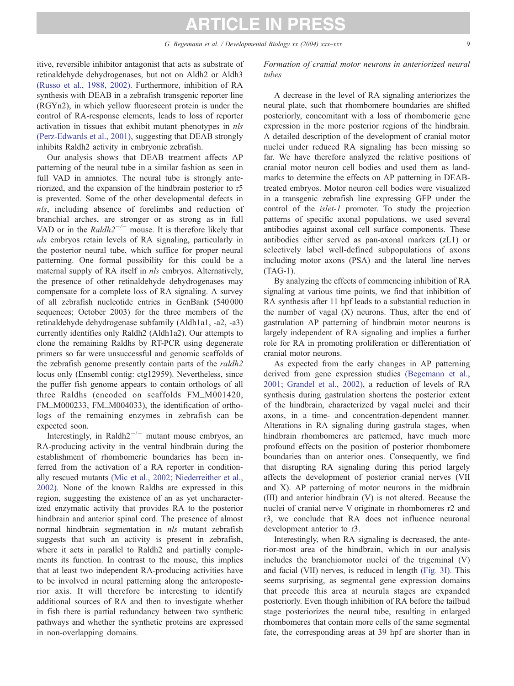itive, reversible inhibitor antagonist that acts as substrate of retinaldehyde dehydrogenases, but not on Aldh2 or Aldh3 [\(Russo et al., 1988, 2002\).](#page-10-0) Furthermore, inhibition of RA synthesis with DEAB in a zebrafish transgenic reporter line (RGYn2), in which yellow fluorescent protein is under the control of RA-response elements, leads to loss of reporter activation in tissues that exhibit mutant phenotypes in nls [\(Perz-Edwards et al., 2001\),](#page-10-0) suggesting that DEAB strongly inhibits Raldh2 activity in embryonic zebrafish.

Our analysis shows that DEAB treatment affects AP patterning of the neural tube in a similar fashion as seen in full VAD in amniotes. The neural tube is strongly anteriorized, and the expansion of the hindbrain posterior to r5 is prevented. Some of the other developmental defects in nls, including absence of forelimbs and reduction of branchial arches, are stronger or as strong as in full VAD or in the Raldh $2^{-/-}$  mouse. It is therefore likely that nls embryos retain levels of RA signaling, particularly in the posterior neural tube, which suffice for proper neural patterning. One formal possibility for this could be a maternal supply of RA itself in nls embryos. Alternatively, the presence of other retinaldehyde dehydrogenases may compensate for a complete loss of RA signaling. A survey of all zebrafish nucleotide entries in GenBank (540 000 sequences; October 2003) for the three members of the retinaldehyde dehydrogenase subfamily (Aldh1a1, -a2, -a3) currently identifies only Raldh2 (Aldh1a2). Our attempts to clone the remaining Raldhs by RT-PCR using degenerate primers so far were unsuccessful and genomic scaffolds of the zebrafish genome presently contain parts of the raldh2 locus only (Ensembl contig: ctg12959). Nevertheless, since the puffer fish genome appears to contain orthologs of all three Raldhs (encoded on scaffolds FM\_M001420, FM\_M000233, FM\_M004033), the identification of orthologs of the remaining enzymes in zebrafish can be expected soon.

Interestingly, in Raldh $2^{-/-}$  mutant mouse embryos, an RA-producing activity in the ventral hindbrain during the establishment of rhombomeric boundaries has been inferred from the activation of a RA reporter in conditionally rescued mutants [\(Mic et al., 2002; Niederreither et al.,](#page-10-0) 2002). None of the known Raldhs are expressed in this region, suggesting the existence of an as yet uncharacterized enzymatic activity that provides RA to the posterior hindbrain and anterior spinal cord. The presence of almost normal hindbrain segmentation in nls mutant zebrafish suggests that such an activity is present in zebrafish, where it acts in parallel to Raldh2 and partially complements its function. In contrast to the mouse, this implies that at least two independent RA-producing activities have to be involved in neural patterning along the anteroposterior axis. It will therefore be interesting to identify additional sources of RA and then to investigate whether in fish there is partial redundancy between two synthetic pathways and whether the synthetic proteins are expressed in non-overlapping domains.

Formation of cranial motor neurons in anteriorized neural tubes

A decrease in the level of RA signaling anteriorizes the neural plate, such that rhombomere boundaries are shifted posteriorly, concomitant with a loss of rhombomeric gene expression in the more posterior regions of the hindbrain. A detailed description of the development of cranial motor nuclei under reduced RA signaling has been missing so far. We have therefore analyzed the relative positions of cranial motor neuron cell bodies and used them as landmarks to determine the effects on AP patterning in DEABtreated embryos. Motor neuron cell bodies were visualized in a transgenic zebrafish line expressing GFP under the control of the islet-1 promoter. To study the projection patterns of specific axonal populations, we used several antibodies against axonal cell surface components. These antibodies either served as pan-axonal markers (zL1) or selectively label well-defined subpopulations of axons including motor axons (PSA) and the lateral line nerves (TAG-1).

By analyzing the effects of commencing inhibition of RA signaling at various time points, we find that inhibition of RA synthesis after 11 hpf leads to a substantial reduction in the number of vagal  $(X)$  neurons. Thus, after the end of gastrulation AP patterning of hindbrain motor neurons is largely independent of RA signaling and implies a further role for RA in promoting proliferation or differentiation of cranial motor neurons.

As expected from the early changes in AP patterning derived from gene expression studies [\(Begemann et al.,](#page-9-0) 2001; Grandel et al., 2002), a reduction of levels of RA synthesis during gastrulation shortens the posterior extent of the hindbrain, characterized by vagal nuclei and their axons, in a time- and concentration-dependent manner. Alterations in RA signaling during gastrula stages, when hindbrain rhombomeres are patterned, have much more profound effects on the position of posterior rhombomere boundaries than on anterior ones. Consequently, we find that disrupting RA signaling during this period largely affects the development of posterior cranial nerves (VII and X). AP patterning of motor neurons in the midbrain (III) and anterior hindbrain (V) is not altered. Because the nuclei of cranial nerve V originate in rhombomeres r2 and r3, we conclude that RA does not influence neuronal development anterior to r3.

Interestingly, when RA signaling is decreased, the anterior-most area of the hindbrain, which in our analysis includes the branchiomotor nuclei of the trigeminal (V) and facial (VII) nerves, is reduced in length [\(Fig. 3I\).](#page-4-0) This seems surprising, as segmental gene expression domains that precede this area at neurula stages are expanded posteriorly. Even though inhibition of RA before the tailbud stage posteriorizes the neural tube, resulting in enlarged rhombomeres that contain more cells of the same segmental fate, the corresponding areas at 39 hpf are shorter than in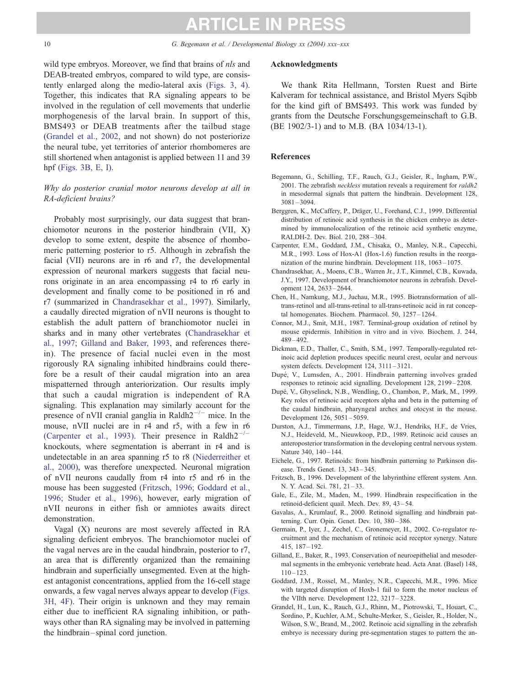<span id="page-9-0"></span>10 G. Begemann et al. / Developmental Biology xx (2004) xxx-xxx

wild type embryos. Moreover, we find that brains of *nls* and DEAB-treated embryos, compared to wild type, are consistently enlarged along the medio-lateral axis [\(Figs. 3, 4\).](#page-4-0) Together, this indicates that RA signaling appears to be involved in the regulation of cell movements that underlie morphogenesis of the larval brain. In support of this, BMS493 or DEAB treatments after the tailbud stage (Grandel et al., 2002, and not shown) do not posteriorize the neural tube, yet territories of anterior rhombomeres are still shortened when antagonist is applied between 11 and 39 hpf [\(Figs. 3B, E, I\)](#page-4-0).

## Why do posterior cranial motor neurons develop at all in RA-deficient brains?

Probably most surprisingly, our data suggest that branchiomotor neurons in the posterior hindbrain (VII, X) develop to some extent, despite the absence of rhombomeric patterning posterior to r5. Although in zebrafish the facial (VII) neurons are in r6 and r7, the developmental expression of neuronal markers suggests that facial neurons originate in an area encompassing r4 to r6 early in development and finally come to be positioned in r6 and r7 (summarized in Chandrasekhar et al., 1997). Similarly, a caudally directed migration of nVII neurons is thought to establish the adult pattern of branchiomotor nuclei in sharks and in many other vertebrates (Chandrasekhar et al., 1997; Gilland and Baker, 1993, and references therein). The presence of facial nuclei even in the most rigorously RA signaling inhibited hindbrains could therefore be a result of their caudal migration into an area mispatterned through anteriorization. Our results imply that such a caudal migration is independent of RA signaling. This explanation may similarly account for the presence of nVII cranial ganglia in Raldh $2^{-/-}$  mice. In the mouse, nVII nuclei are in r4 and r5, with a few in r6 (Carpenter et al., 1993). Their presence in Raldh $2^{-/-}$ knockouts, where segmentation is aberrant in r4 and is undetectable in an area spanning r5 to r8 [\(Niederreither et](#page-10-0) al., 2000), was therefore unexpected. Neuronal migration of nVII neurons caudally from r4 into r5 and r6 in the mouse has been suggested (Fritzsch, 1996; Goddard et al., 1996; Studer et al., 1996), however, early migration of nVII neurons in either fish or amniotes awaits direct demonstration.

Vagal (X) neurons are most severely affected in RA signaling deficient embryos. The branchiomotor nuclei of the vagal nerves are in the caudal hindbrain, posterior to r7, an area that is differently organized than the remaining hindbrain and superficially unsegmented. Even at the highest antagonist concentrations, applied from the 16-cell stage onwards, a few vagal nerves always appear to develop [\(Figs.](#page-4-0) 3H, 4F). Their origin is unknown and they may remain either due to inefficient RA signaling inhibition, or pathways other than RA signaling may be involved in patterning the hindbrain – spinal cord junction.

#### Acknowledgments

We thank Rita Hellmann, Torsten Ruest and Birte Kalveram for technical assistance, and Bristol Myers Sqibb for the kind gift of BMS493. This work was funded by grants from the Deutsche Forschungsgemeinschaft to G.B. (BE 1902/3-1) and to M.B. (BA 1034/13-1).

#### References

- Begemann, G., Schilling, T.F., Rauch, G.J., Geisler, R., Ingham, P.W., 2001. The zebrafish neckless mutation reveals a requirement for raldh2 in mesodermal signals that pattern the hindbrain. Development 128, 3081 – 3094.
- Berggren, K., McCaffery, P., Dräger, U., Forehand, C.J., 1999. Differential distribution of retinoic acid synthesis in the chicken embryo as determined by immunolocalization of the retinoic acid synthetic enzyme, RALDH-2. Dev. Biol. 210, 288 – 304.
- Carpenter, E.M., Goddard, J.M., Chisaka, O., Manley, N.R., Capecchi, M.R., 1993. Loss of Hox-A1 (Hox-1.6) function results in the reorganization of the murine hindbrain. Development 118, 1063 – 1075.
- Chandrasekhar, A., Moens, C.B., Warren Jr., J.T., Kimmel, C.B., Kuwada, J.Y., 1997. Development of branchiomotor neurons in zebrafish. Development 124, 2633 – 2644.
- Chen, H., Namkung, M.J., Juchau, M.R., 1995. Biotransformation of alltrans-retinol and all-trans-retinal to all-trans-retinoic acid in rat conceptal homogenates. Biochem. Pharmacol. 50, 1257 – 1264.
- Connor, M.J., Smit, M.H., 1987. Terminal-group oxidation of retinol by mouse epidermis. Inhibition in vitro and in vivo. Biochem. J. 244, 489 – 492.
- Dickman, E.D., Thaller, C., Smith, S.M., 1997. Temporally-regulated retinoic acid depletion produces specific neural crest, ocular and nervous system defects. Development 124, 3111 – 3121.
- Dupé, V., Lumsden, A., 2001. Hindbrain patterning involves graded responses to retinoic acid signalling. Development 128, 2199 – 2208.
- Dupe´, V., Ghyselinck, N.B., Wendling, O., Chambon, P., Mark, M., 1999. Key roles of retinoic acid receptors alpha and beta in the patterning of the caudal hindbrain, pharyngeal arches and otocyst in the mouse. Development 126, 5051 – 5059.
- Durston, A.J., Timmermans, J.P., Hage, W.J., Hendriks, H.F., de Vries, N.J., Heideveld, M., Nieuwkoop, P.D., 1989. Retinoic acid causes an anteroposterior transformation in the developing central nervous system. Nature 340, 140-144.
- Eichele, G., 1997. Retinoids: from hindbrain patterning to Parkinson disease. Trends Genet. 13, 343 – 345.
- Fritzsch, B., 1996. Development of the labyrinthine efferent system. Ann. N. Y. Acad. Sci. 781, 21-33.
- Gale, E., Zile, M., Maden, M., 1999. Hindbrain respecification in the retinoid-deficient quail. Mech. Dev. 89, 43 – 54.
- Gavalas, A., Krumlauf, R., 2000. Retinoid signalling and hindbrain patterning. Curr. Opin. Genet. Dev. 10, 380 – 386.
- Germain, P., Iyer, J., Zechel, C., Gronemeyer, H., 2002. Co-regulator recruitment and the mechanism of retinoic acid receptor synergy. Nature 415, 187 – 192.
- Gilland, E., Baker, R., 1993. Conservation of neuroepithelial and mesodermal segments in the embryonic vertebrate head. Acta Anat. (Basel) 148,  $110 - 123$
- Goddard, J.M., Rossel, M., Manley, N.R., Capecchi, M.R., 1996. Mice with targeted disruption of Hoxb-1 fail to form the motor nucleus of the VIIth nerve. Development 122, 3217 – 3228.
- Grandel, H., Lun, K., Rauch, G.J., Rhinn, M., Piotrowski, T., Houart, C., Sordino, P., Kuchler, A.M., Schulte-Merker, S., Geisler, R., Holder, N., Wilson, S.W., Brand, M., 2002. Retinoic acid signalling in the zebrafish embryo is necessary during pre-segmentation stages to pattern the an-